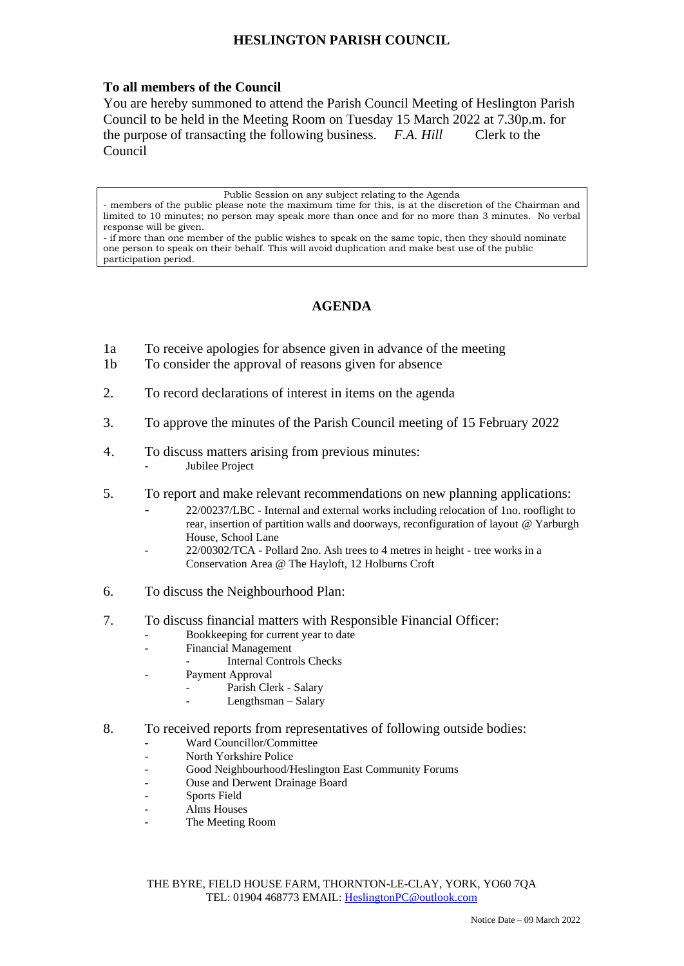## **HESLINGTON PARISH COUNCIL**

## **To all members of the Council**

You are hereby summoned to attend the Parish Council Meeting of Heslington Parish Council to be held in the Meeting Room on Tuesday 15 March 2022 at 7.30p.m. for the purpose of transacting the following business. *F.A. Hill* Clerk to the Council

Public Session on any subject relating to the Agenda

members of the public please note the maximum time for this, is at the discretion of the Chairman and limited to 10 minutes; no person may speak more than once and for no more than 3 minutes. No verbal response will be given.

- if more than one member of the public wishes to speak on the same topic, then they should nominate one person to speak on their behalf. This will avoid duplication and make best use of the public participation period.

## **AGENDA**

- 1a To receive apologies for absence given in advance of the meeting
- 1b To consider the approval of reasons given for absence
- 2. To record declarations of interest in items on the agenda
- 3. To approve the minutes of the Parish Council meeting of 15 February 2022
- 4. To discuss matters arising from previous minutes: Jubilee Project
- 5. To report and make relevant recommendations on new planning applications:
	- 22/00237/LBC Internal and external works including relocation of 1no. rooflight to rear, insertion of partition walls and doorways, reconfiguration of layout @ Yarburgh House, School Lane
	- 22/00302/TCA Pollard 2no. Ash trees to 4 metres in height tree works in a Conservation Area @ The Hayloft, 12 Holburns Croft
- 6. To discuss the Neighbourhood Plan:
- 7. To discuss financial matters with Responsible Financial Officer:
	- Bookkeeping for current year to date
	- Financial Management
		- Internal Controls Checks
	- Payment Approval
		- Parish Clerk Salary
		- Lengthsman Salary
- 8. To received reports from representatives of following outside bodies:
	- Ward Councillor/Committee
	- North Yorkshire Police
	- Good Neighbourhood/Heslington East Community Forums
	- Ouse and Derwent Drainage Board
	- Sports Field
	- Alms Houses
	- The Meeting Room

THE BYRE, FIELD HOUSE FARM, THORNTON-LE-CLAY, YORK, YO60 7QA TEL: 01904 468773 EMAIL: [HeslingtonPC@outlook.com](mailto:HeslingtonPC@outlook.com)